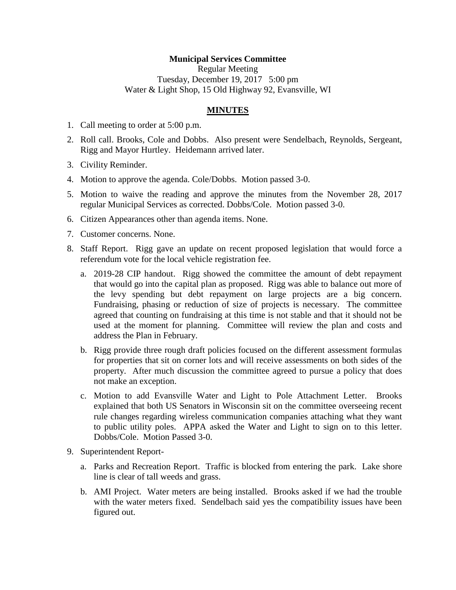## **Municipal Services Committee**

Regular Meeting Tuesday, December 19, 2017 5:00 pm Water & Light Shop, 15 Old Highway 92, Evansville, WI

## **MINUTES**

- 1. Call meeting to order at 5:00 p.m.
- 2. Roll call. Brooks, Cole and Dobbs. Also present were Sendelbach, Reynolds, Sergeant, Rigg and Mayor Hurtley. Heidemann arrived later.
- 3. Civility Reminder.
- 4. Motion to approve the agenda. Cole/Dobbs. Motion passed 3-0.
- 5. Motion to waive the reading and approve the minutes from the November 28, 2017 regular Municipal Services as corrected. Dobbs/Cole. Motion passed 3-0.
- 6. Citizen Appearances other than agenda items. None.
- 7. Customer concerns. None.
- 8. Staff Report. Rigg gave an update on recent proposed legislation that would force a referendum vote for the local vehicle registration fee.
	- a. 2019-28 CIP handout. Rigg showed the committee the amount of debt repayment that would go into the capital plan as proposed. Rigg was able to balance out more of the levy spending but debt repayment on large projects are a big concern. Fundraising, phasing or reduction of size of projects is necessary. The committee agreed that counting on fundraising at this time is not stable and that it should not be used at the moment for planning. Committee will review the plan and costs and address the Plan in February.
	- b. Rigg provide three rough draft policies focused on the different assessment formulas for properties that sit on corner lots and will receive assessments on both sides of the property. After much discussion the committee agreed to pursue a policy that does not make an exception.
	- c. Motion to add Evansville Water and Light to Pole Attachment Letter. Brooks explained that both US Senators in Wisconsin sit on the committee overseeing recent rule changes regarding wireless communication companies attaching what they want to public utility poles. APPA asked the Water and Light to sign on to this letter. Dobbs/Cole. Motion Passed 3-0.
- 9. Superintendent Report
	- a. Parks and Recreation Report. Traffic is blocked from entering the park. Lake shore line is clear of tall weeds and grass.
	- b. AMI Project. Water meters are being installed. Brooks asked if we had the trouble with the water meters fixed. Sendelbach said yes the compatibility issues have been figured out.